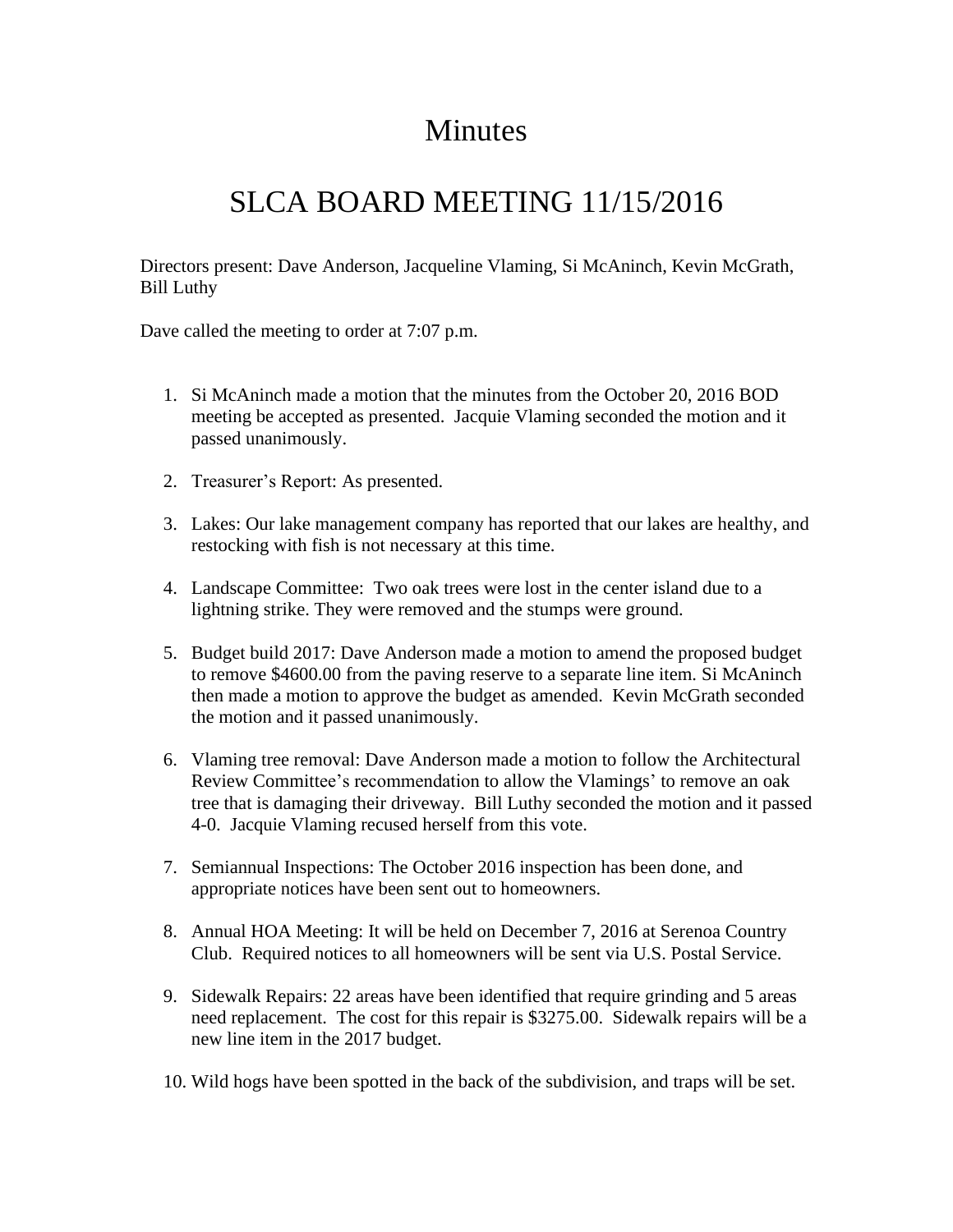## Minutes

## SLCA BOARD MEETING 11/15/2016

Directors present: Dave Anderson, Jacqueline Vlaming, Si McAninch, Kevin McGrath, Bill Luthy

Dave called the meeting to order at 7:07 p.m.

- 1. Si McAninch made a motion that the minutes from the October 20, 2016 BOD meeting be accepted as presented. Jacquie Vlaming seconded the motion and it passed unanimously.
- 2. Treasurer's Report: As presented.
- 3. Lakes: Our lake management company has reported that our lakes are healthy, and restocking with fish is not necessary at this time.
- 4. Landscape Committee: Two oak trees were lost in the center island due to a lightning strike. They were removed and the stumps were ground.
- 5. Budget build 2017: Dave Anderson made a motion to amend the proposed budget to remove \$4600.00 from the paving reserve to a separate line item. Si McAninch then made a motion to approve the budget as amended. Kevin McGrath seconded the motion and it passed unanimously.
- 6. Vlaming tree removal: Dave Anderson made a motion to follow the Architectural Review Committee's recommendation to allow the Vlamings' to remove an oak tree that is damaging their driveway. Bill Luthy seconded the motion and it passed 4-0. Jacquie Vlaming recused herself from this vote.
- 7. Semiannual Inspections: The October 2016 inspection has been done, and appropriate notices have been sent out to homeowners.
- 8. Annual HOA Meeting: It will be held on December 7, 2016 at Serenoa Country Club. Required notices to all homeowners will be sent via U.S. Postal Service.
- 9. Sidewalk Repairs: 22 areas have been identified that require grinding and 5 areas need replacement. The cost for this repair is \$3275.00. Sidewalk repairs will be a new line item in the 2017 budget.
- 10. Wild hogs have been spotted in the back of the subdivision, and traps will be set.